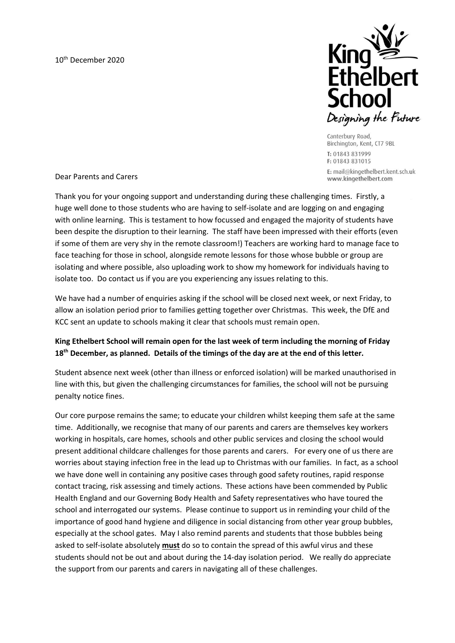

Canterbury Road, Birchington, Kent, CT7 9BL T: 01843 831999 F: 01843 831015 E: mail@kingethelbert.kent.sch.uk

www.kingethelbert.com

Dear Parents and Carers

Thank you for your ongoing support and understanding during these challenging times. Firstly, a huge well done to those students who are having to self-isolate and are logging on and engaging with online learning. This is testament to how focussed and engaged the majority of students have been despite the disruption to their learning. The staff have been impressed with their efforts (even if some of them are very shy in the remote classroom!) Teachers are working hard to manage face to face teaching for those in school, alongside remote lessons for those whose bubble or group are isolating and where possible, also uploading work to show my homework for individuals having to isolate too. Do contact us if you are you experiencing any issues relating to this.

We have had a number of enquiries asking if the school will be closed next week, or next Friday, to allow an isolation period prior to families getting together over Christmas. This week, the DfE and KCC sent an update to schools making it clear that schools must remain open.

## **King Ethelbert School will remain open for the last week of term including the morning of Friday 18th December, as planned. Details of the timings of the day are at the end of this letter.**

Student absence next week (other than illness or enforced isolation) will be marked unauthorised in line with this, but given the challenging circumstances for families, the school will not be pursuing penalty notice fines.

Our core purpose remains the same; to educate your children whilst keeping them safe at the same time. Additionally, we recognise that many of our parents and carers are themselves key workers working in hospitals, care homes, schools and other public services and closing the school would present additional childcare challenges for those parents and carers. For every one of us there are worries about staying infection free in the lead up to Christmas with our families. In fact, as a school we have done well in containing any positive cases through good safety routines, rapid response contact tracing, risk assessing and timely actions. These actions have been commended by Public Health England and our Governing Body Health and Safety representatives who have toured the school and interrogated our systems. Please continue to support us in reminding your child of the importance of good hand hygiene and diligence in social distancing from other year group bubbles, especially at the school gates. May I also remind parents and students that those bubbles being asked to self-isolate absolutely **must** do so to contain the spread of this awful virus and these students should not be out and about during the 14-day isolation period. We really do appreciate the support from our parents and carers in navigating all of these challenges.